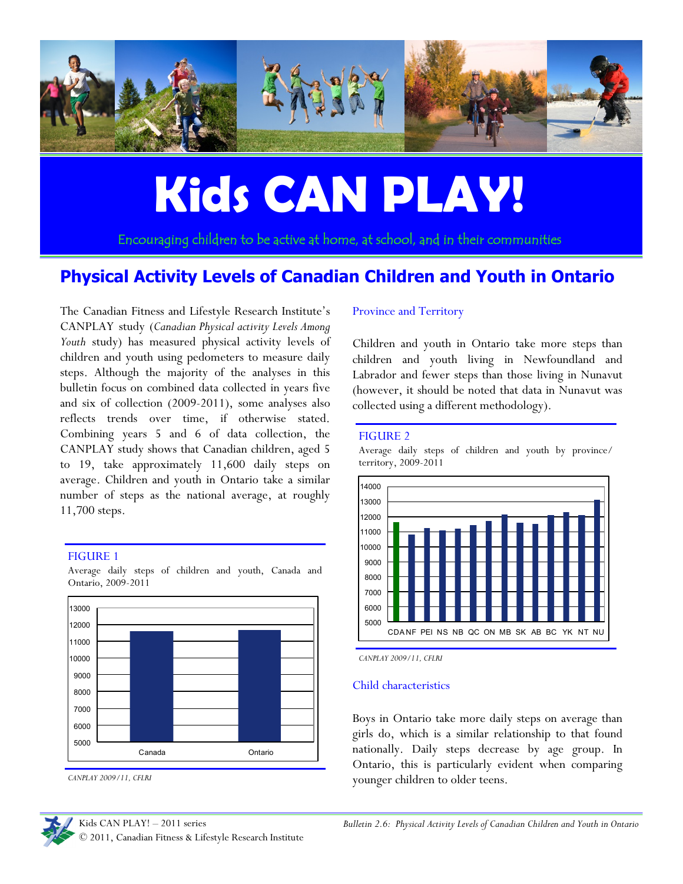

# **Kids CAN PLAY!**

Encouraging children to be active at home, at school, and in their communities

# **Physical Activity Levels of Canadian Children and Youth in Ontario**

The Canadian Fitness and Lifestyle Research Institute's CANPLAY study (*Canadian Physical activity Levels Among Youth* study) has measured physical activity levels of children and youth using pedometers to measure daily steps. Although the majority of the analyses in this bulletin focus on combined data collected in years five and six of collection (2009-2011), some analyses also reflects trends over time, if otherwise stated. Combining years 5 and 6 of data collection, the CANPLAY study shows that Canadian children, aged 5 to 19, take approximately 11,600 daily steps on average. Children and youth in Ontario take a similar number of steps as the national average, at roughly 11,700 steps.

#### FIGURE 1



Average daily steps of children and youth, Canada and Ontario, 2009-2011

Kids CAN PLAY! – 2011 series © 2011, Canadian Fitness & Lifestyle Research Institute

#### Province and Territory

Children and youth in Ontario take more steps than children and youth living in Newfoundland and Labrador and fewer steps than those living in Nunavut (however, it should be noted that data in Nunavut was collected using a different methodology).

#### FIGURE 2

Average daily steps of children and youth by province/ territory, 2009-2011



*CANPLAY 2009/11, CFLRI*

#### Child characteristics

Boys in Ontario take more daily steps on average than girls do, which is a similar relationship to that found nationally. Daily steps decrease by age group. In Ontario, this is particularly evident when comparing younger children to older teens.



*CANPLAY 2009/11, CFLRI*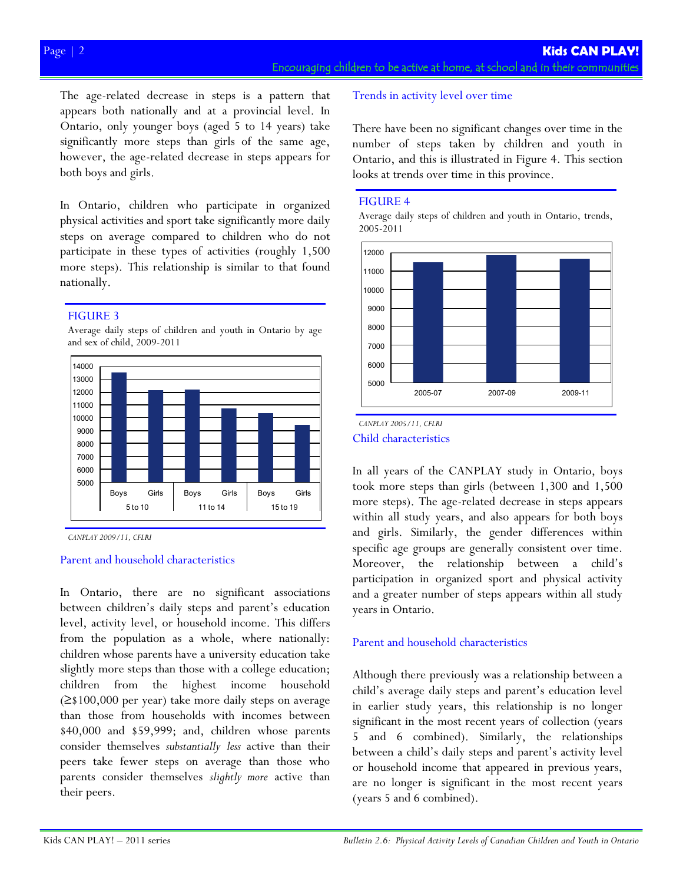The age-related decrease in steps is a pattern that appears both nationally and at a provincial level. In Ontario, only younger boys (aged 5 to 14 years) take significantly more steps than girls of the same age, however, the age-related decrease in steps appears for both boys and girls.

In Ontario, children who participate in organized physical activities and sport take significantly more daily steps on average compared to children who do not participate in these types of activities (roughly 1,500 more steps). This relationship is similar to that found nationally.

## FIGURE 3





*CANPLAY 2009/11, CFLRI*

#### Parent and household characteristics

In Ontario, there are no significant associations between children's daily steps and parent's education level, activity level, or household income. This differs from the population as a whole, where nationally: children whose parents have a university education take slightly more steps than those with a college education; children from the highest income household (≥\$100,000 per year) take more daily steps on average than those from households with incomes between \$40,000 and \$59,999; and, children whose parents consider themselves *substantially less* active than their peers take fewer steps on average than those who parents consider themselves *slightly more* active than their peers.

# Trends in activity level over time

There have been no significant changes over time in the number of steps taken by children and youth in Ontario, and this is illustrated in Figure 4. This section looks at trends over time in this province.

## FIGURE 4

Average daily steps of children and youth in Ontario, trends, 2005-2011



#### Child characteristics *CANPLAY 2005/11, CFLRI*

In all years of the CANPLAY study in Ontario, boys took more steps than girls (between 1,300 and 1,500 more steps). The age-related decrease in steps appears within all study years, and also appears for both boys and girls. Similarly, the gender differences within specific age groups are generally consistent over time. Moreover, the relationship between a child's participation in organized sport and physical activity and a greater number of steps appears within all study years in Ontario.

# Parent and household characteristics

Although there previously was a relationship between a child's average daily steps and parent's education level in earlier study years, this relationship is no longer significant in the most recent years of collection (years 5 and 6 combined). Similarly, the relationships between a child's daily steps and parent's activity level or household income that appeared in previous years, are no longer is significant in the most recent years (years 5 and 6 combined).